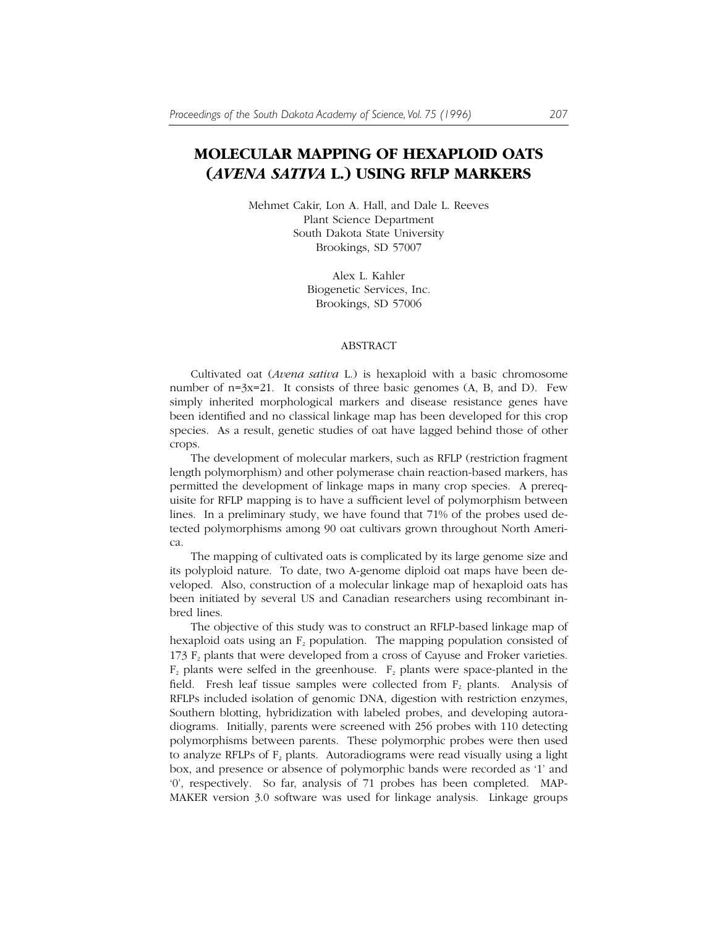## **MOLECULAR MAPPING OF HEXAPLOID OATS (***AVENA SATIVA* **L.) USING RFLP MARKERS**

Mehmet Cakir, Lon A. Hall, and Dale L. Reeves Plant Science Department South Dakota State University Brookings, SD 57007

> Alex L. Kahler Biogenetic Services, Inc. Brookings, SD 57006

## ABSTRACT

Cultivated oat (*Avena sativa* L.) is hexaploid with a basic chromosome number of  $n=3x=21$ . It consists of three basic genomes  $(A, B, and D)$ . Few simply inherited morphological markers and disease resistance genes have been identified and no classical linkage map has been developed for this crop species. As a result, genetic studies of oat have lagged behind those of other crops.

The development of molecular markers, such as RFLP (restriction fragment length polymorphism) and other polymerase chain reaction-based markers, has permitted the development of linkage maps in many crop species. A prerequisite for RFLP mapping is to have a sufficient level of polymorphism between lines. In a preliminary study, we have found that 71% of the probes used detected polymorphisms among 90 oat cultivars grown throughout North America.

The mapping of cultivated oats is complicated by its large genome size and its polyploid nature. To date, two A-genome diploid oat maps have been developed. Also, construction of a molecular linkage map of hexaploid oats has been initiated by several US and Canadian researchers using recombinant inbred lines.

The objective of this study was to construct an RFLP-based linkage map of hexaploid oats using an  $F_2$  population. The mapping population consisted of 173  $F<sub>2</sub>$  plants that were developed from a cross of Cayuse and Froker varieties.  $F_2$  plants were selfed in the greenhouse.  $F_2$  plants were space-planted in the field. Fresh leaf tissue samples were collected from  $F_2$  plants. Analysis of RFLPs included isolation of genomic DNA, digestion with restriction enzymes, Southern blotting, hybridization with labeled probes, and developing autoradiograms. Initially, parents were screened with 256 probes with 110 detecting polymorphisms between parents. These polymorphic probes were then used to analyze RFLPs of  $F_2$  plants. Autoradiograms were read visually using a light box, and presence or absence of polymorphic bands were recorded as '1' and '0', respectively. So far, analysis of 71 probes has been completed. MAP-MAKER version 3.0 software was used for linkage analysis. Linkage groups